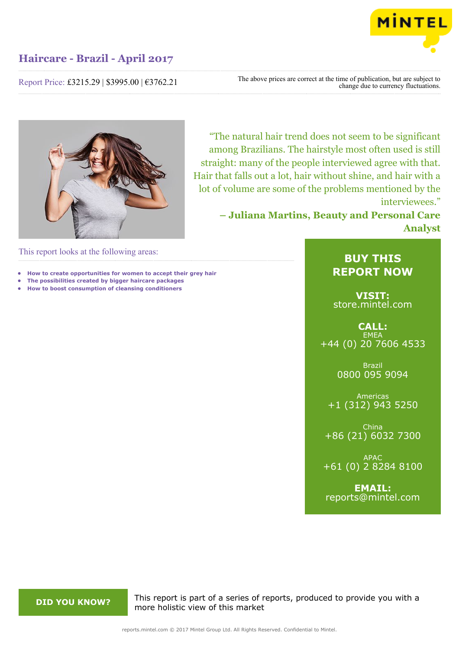

Report Price: £3215.29 | \$3995.00 | €3762.21

The above prices are correct at the time of publication, but are subject to change due to currency fluctuations.



"The natural hair trend does not seem to be significant among Brazilians. The hairstyle most often used is still straight: many of the people interviewed agree with that. Hair that falls out a lot, hair without shine, and hair with a lot of volume are some of the problems mentioned by the interviewees."

> **– Juliana Martins, Beauty and Personal Care Analyst**

This report looks at the following areas:

- **• How to create opportunities for women to accept their grey hair**
- **• The possibilities created by bigger haircare packages • How to boost consumption of cleansing conditioners**

## **BUY THIS REPORT NOW**

**VISIT:** [store.mintel.com](http://reports.mintel.com//display/store/793881/)

**CALL: EMEA** +44 (0) 20 7606 4533

> Brazil 0800 095 9094

Americas +1 (312) 943 5250

China +86 (21) 6032 7300

APAC +61 (0) 2 8284 8100

**EMAIL:** [reports@mintel.com](mailto:reports@mintel.com)

**DID YOU KNOW?** This report is part of a series of reports, produced to provide you with a more holistic view of this market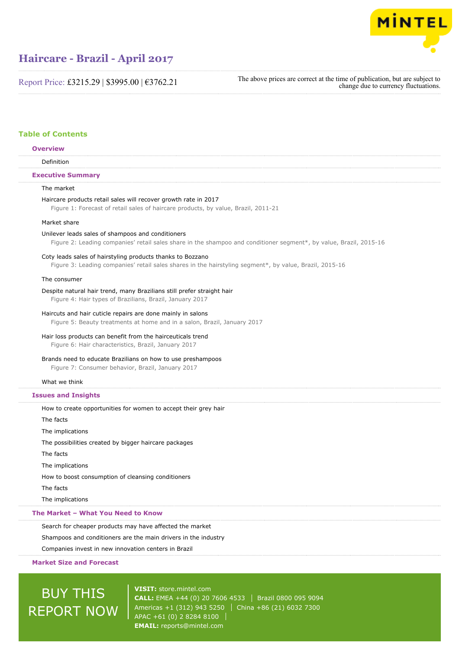

Report Price: £3215.29 | \$3995.00 | €3762.21

The above prices are correct at the time of publication, but are subject to change due to currency fluctuations.

### **Table of Contents**

### Definition The market Haircare products retail sales will recover growth rate in 2017 **Overview Executive Summary**

Figure 1: Forecast of retail sales of haircare products, by value, Brazil, 2011-21

#### Market share

#### Unilever leads sales of shampoos and conditioners

Figure 2: Leading companies' retail sales share in the shampoo and conditioner segment\*, by value, Brazil, 2015-16

#### Coty leads sales of hairstyling products thanks to Bozzano

Figure 3: Leading companies' retail sales shares in the hairstyling segment\*, by value, Brazil, 2015-16

#### The consumer

#### Despite natural hair trend, many Brazilians still prefer straight hair

Figure 4: Hair types of Brazilians, Brazil, January 2017

#### Haircuts and hair cuticle repairs are done mainly in salons

Figure 5: Beauty treatments at home and in a salon, Brazil, January 2017

#### Hair loss products can benefit from the hairceuticals trend

Figure 6: Hair characteristics, Brazil, January 2017

#### Brands need to educate Brazilians on how to use preshampoos

Figure 7: Consumer behavior, Brazil, January 2017

#### What we think

#### **Issues and Insights**

How to create opportunities for women to accept their grey hair The facts The implications The possibilities created by bigger haircare packages The facts The implications How to boost consumption of cleansing conditioners The facts The implications **The Market – What You Need to Know**

### Search for cheaper products may have affected the market

Shampoos and conditioners are the main drivers in the industry

Companies invest in new innovation centers in Brazil

#### **Market Size and Forecast**

# BUY THIS REPORT NOW

**VISIT:** [store.mintel.com](http://reports.mintel.com//display/store/793881/) **CALL:** EMEA +44 (0) 20 7606 4533 Brazil 0800 095 9094 Americas +1 (312) 943 5250 | China +86 (21) 6032 7300 APAC +61 (0) 2 8284 8100 **EMAIL:** [reports@mintel.com](mailto:reports@mintel.com)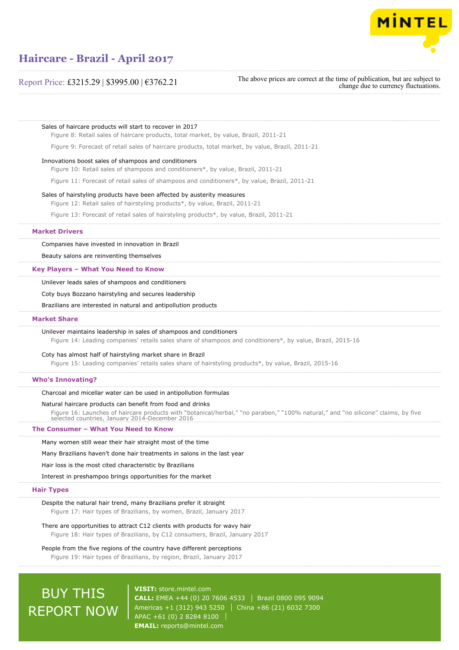

### Report Price: £3215.29 | \$3995.00 | €3762.21

The above prices are correct at the time of publication, but are subject to change due to currency fluctuations.

Sales of haircare products will start to recover in 2017 Figure 8: Retail sales of haircare products, total market, by value, Brazil, 2011-21 Figure 9: Forecast of retail sales of haircare products, total market, by value, Brazil, 2011-21 Innovations boost sales of shampoos and conditioners Figure 10: Retail sales of shampoos and conditioners\*, by value, Brazil, 2011-21 Figure 11: Forecast of retail sales of shampoos and conditioners\*, by value, Brazil, 2011-21 Sales of hairstyling products have been affected by austerity measures Figure 12: Retail sales of hairstyling products\*, by value, Brazil, 2011-21 Figure 13: Forecast of retail sales of hairstyling products\*, by value, Brazil, 2011-21 Companies have invested in innovation in Brazil Beauty salons are reinventing themselves Unilever leads sales of shampoos and conditioners Coty buys Bozzano hairstyling and secures leadership Brazilians are interested in natural and antipollution products Unilever maintains leadership in sales of shampoos and conditioners Figure 14: Leading companies' retails sales share of shampoos and conditioners\*, by value, Brazil, 2015-16 Coty has almost half of hairstyling market share in Brazil Figure 15: Leading companies' retails sales share of hairstyling products\*, by value, Brazil, 2015-16 Charcoal and micellar water can be used in antipollution formulas Natural haircare products can benefit from food and drinks Figure 16: Launches of haircare products with "botanical/herbal," "no paraben," "100% natural," and "no silicone" claims, by five selected countries, January 2014-December 2016 Many women still wear their hair straight most of the time Many Brazilians haven't done hair treatments in salons in the last year Hair loss is the most cited characteristic by Brazilians Interest in preshampoo brings opportunities for the market Despite the natural hair trend, many Brazilians prefer it straight Figure 17: Hair types of Brazilians, by women, Brazil, January 2017 There are opportunities to attract C12 clients with products for wavy hair Figure 18: Hair types of Brazilians, by C12 consumers, Brazil, January 2017 People from the five regions of the country have different perceptions **Market Drivers Key Players – What You Need to Know Market Share Who's Innovating? The Consumer – What You Need to Know Hair Types**

Figure 19: Hair types of Brazilians, by region, Brazil, January 2017

# BUY THIS REPORT NOW

**VISIT:** [store.mintel.com](http://reports.mintel.com//display/store/793881/) **CALL:** EMEA +44 (0) 20 7606 4533 Brazil 0800 095 9094 Americas +1 (312) 943 5250 | China +86 (21) 6032 7300 APAC +61 (0) 2 8284 8100 **EMAIL:** [reports@mintel.com](mailto:reports@mintel.com)